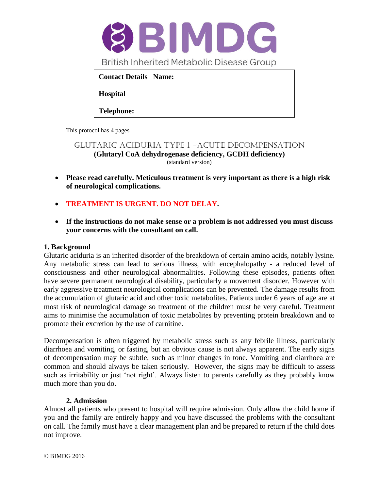

This protocol has 4 pages

GLUTARIC ACIDURIA type 1 -ACUTE DECOMPENSATION **(Glutaryl CoA dehydrogenase deficiency, GCDH deficiency)** (standard version)

- **Please read carefully. Meticulous treatment is very important as there is a high risk of neurological complications.**
- **TREATMENT IS URGENT. DO NOT DELAY.**
- **If the instructions do not make sense or a problem is not addressed you must discuss your concerns with the consultant on call.**

## **1. Background**

Glutaric aciduria is an inherited disorder of the breakdown of certain amino acids, notably lysine. Any metabolic stress can lead to serious illness, with encephalopathy - a reduced level of consciousness and other neurological abnormalities. Following these episodes, patients often have severe permanent neurological disability, particularly a movement disorder. However with early aggressive treatment neurological complications can be prevented. The damage results from the accumulation of glutaric acid and other toxic metabolites. Patients under 6 years of age are at most risk of neurological damage so treatment of the children must be very careful. Treatment aims to minimise the accumulation of toxic metabolites by preventing protein breakdown and to promote their excretion by the use of carnitine.

Decompensation is often triggered by metabolic stress such as any febrile illness, particularly diarrhoea and vomiting, or fasting, but an obvious cause is not always apparent. The early signs of decompensation may be subtle, such as minor changes in tone. Vomiting and diarrhoea are common and should always be taken seriously. However, the signs may be difficult to assess such as irritability or just 'not right'. Always listen to parents carefully as they probably know much more than you do.

#### **2. Admission**

Almost all patients who present to hospital will require admission. Only allow the child home if you and the family are entirely happy and you have discussed the problems with the consultant on call. The family must have a clear management plan and be prepared to return if the child does not improve.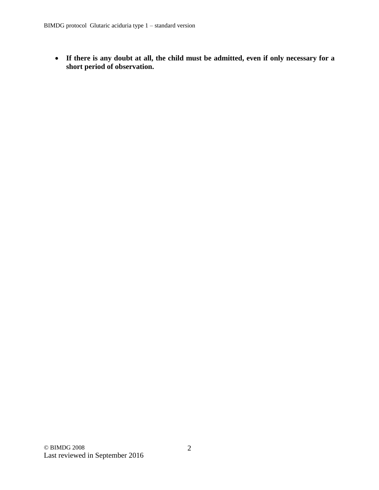**If there is any doubt at all, the child must be admitted, even if only necessary for a short period of observation.**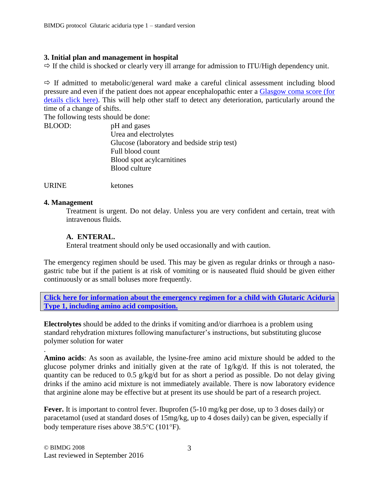#### **3. Initial plan and management in hospital**

 $\Rightarrow$  If the child is shocked or clearly very ill arrange for admission to ITU/High dependency unit.

 $\Rightarrow$  If admitted to metabolic/general ward make a careful clinical assessment including blood pressure and even if the patient does not appear encephalopathic enter a [Glasgow coma score \(for](http://www.bimdg.org.uk/store/guidelines/GCS-880465-05-11-2013.pdf)  [details click here\).](http://www.bimdg.org.uk/store/guidelines/GCS-880465-05-11-2013.pdf) This will help other staff to detect any deterioration, particularly around the time of a change of shifts.

The following tests should be done:

| pH and gases                                |
|---------------------------------------------|
| Urea and electrolytes                       |
| Glucose (laboratory and bedside strip test) |
| Full blood count                            |
| Blood spot acylcarnitines                   |
| <b>Blood culture</b>                        |
|                                             |

URINE ketones

#### **4. Management**

.

Treatment is urgent. Do not delay. Unless you are very confident and certain, treat with intravenous fluids.

### **A. ENTERAL.**

Enteral treatment should only be used occasionally and with caution.

The emergency regimen should be used. This may be given as regular drinks or through a nasogastric tube but if the patient is at risk of vomiting or is nauseated fluid should be given either continuously or as small boluses more frequently.

**[Click here for information about the emergency regimen for a child with Glutaric Aciduria](http://www.bimdg.org.uk/store/guidelines/GA1_DIETARY_EMERGENCY_GUIDELINES_WITH_LINKS_2017_294207_05042017.pdf)  [Type 1, including amino acid composition.](http://www.bimdg.org.uk/store/guidelines/GA1_DIETARY_EMERGENCY_GUIDELINES_WITH_LINKS_2017_294207_05042017.pdf)**

**Electrolytes** should be added to the drinks if vomiting and/or diarrhoea is a problem using standard rehydration mixtures following manufacturer's instructions, but substituting glucose polymer solution for water

**Amino acids**: As soon as available, the lysine-free amino acid mixture should be added to the glucose polymer drinks and initially given at the rate of 1g/kg/d. If this is not tolerated, the quantity can be reduced to 0.5 g/kg/d but for as short a period as possible. Do not delay giving drinks if the amino acid mixture is not immediately available. There is now laboratory evidence that arginine alone may be effective but at present its use should be part of a research project.

Fever. It is important to control fever. Ibuprofen  $(5-10 \text{ mg/kg per dose, up to 3 doses daily})$  or paracetamol (used at standard doses of 15mg/kg, up to 4 doses daily) can be given, especially if body temperature rises above  $38.5^{\circ}$ C (101 $^{\circ}$ F).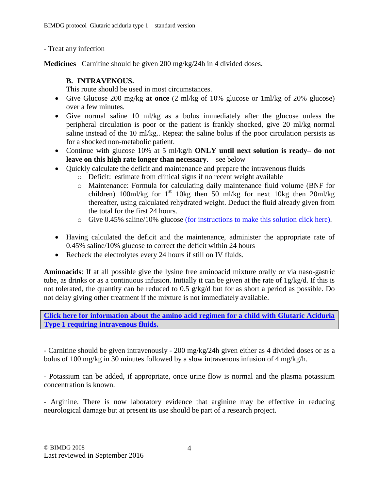- Treat any infection

**Medicines** Carnitine should be given 200 mg/kg/24h in 4 divided doses.

## **B. INTRAVENOUS.**

This route should be used in most circumstances.

- Give Glucose 200 mg/kg **at once** (2 ml/kg of 10% glucose or 1ml/kg of 20% glucose) over a few minutes.
- Give normal saline 10 ml/kg as a bolus immediately after the glucose unless the peripheral circulation is poor or the patient is frankly shocked, give 20 ml/kg normal saline instead of the 10 ml/kg.. Repeat the saline bolus if the poor circulation persists as for a shocked non-metabolic patient.
- Continue with glucose 10% at 5 ml/kg/h **ONLY until next solution is ready– do not leave on this high rate longer than necessary**. – see below
- Quickly calculate the deficit and maintenance and prepare the intravenous fluids
	- o Deficit: estimate from clinical signs if no recent weight available
	- o Maintenance: Formula for calculating daily maintenance fluid volume (BNF for children) 100ml/kg for  $1<sup>st</sup>$  10kg then 50 ml/kg for next 10kg then 20ml/kg thereafter, using calculated rehydrated weight. Deduct the fluid already given from the total for the first 24 hours.
	- o Give 0.45% saline/10% glucose [\(for instructions to make this solution click here\).](http://www.bimdg.org.uk/store/guidelines/intravenous_fluidsrev4_864191_09092016.pdf)
- Having calculated the deficit and the maintenance, administer the appropriate rate of 0.45% saline/10% glucose to correct the deficit within 24 hours
- Recheck the electrolytes every 24 hours if still on IV fluids.

**Aminoacids**: If at all possible give the lysine free aminoacid mixture orally or via naso-gastric tube, as drinks or as a continuous infusion. Initially it can be given at the rate of 1g/kg/d. If this is not tolerated, the quantity can be reduced to 0.5 g/kg/d but for as short a period as possible. Do not delay giving other treatment if the mixture is not immediately available.

**[Click here for information about the amino acid regimen for a child with Glutaric Aciduria](http://www.bimdg.org.uk/store/guidelines/GA1_DIETARY_EMERGENCY_GUIDELINES_WITH_LINKS_2017_294207_05042017.pdf)  [Type 1 requiring intravenous fluids.](http://www.bimdg.org.uk/store/guidelines/GA1_DIETARY_EMERGENCY_GUIDELINES_WITH_LINKS_2017_294207_05042017.pdf)**

- Carnitine should be given intravenously - 200 mg/kg/24h given either as 4 divided doses or as a bolus of 100 mg/kg in 30 minutes followed by a slow intravenous infusion of 4 mg/kg/h.

- Potassium can be added, if appropriate, once urine flow is normal and the plasma potassium concentration is known.

- Arginine. There is now laboratory evidence that arginine may be effective in reducing neurological damage but at present its use should be part of a research project.